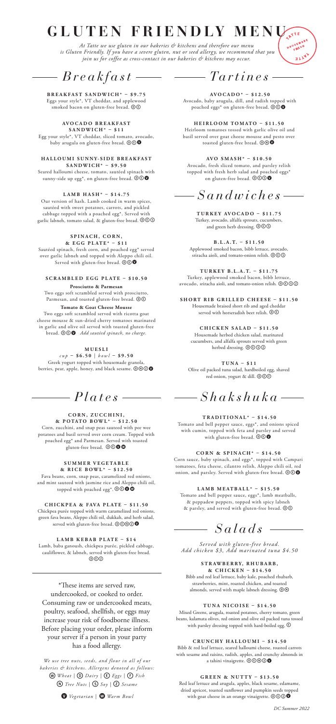# **GLUTEN FRIENDLY MENU**

*At Tatte we use gluten in our bakeries & kitchens and therefore our menu is Gluten Friendly. If you have a severe gluten, nut or seed allergy, we recommend that you join us for coffee as cross-contact in our bakeries & kitchens may occur.*

*Breakfast*

### **BREAKFAST SANDWICH\* – \$9.75**

Eggs your style\*, VT cheddar, and applewood<br>smoked bacon on gluten-free bread.  $\textcircled{e}$ 

#### **AV O C A D O B R E A K F A S T SANDWICH\* – \$11**

Egg your style\*, VT cheddar, sliced tomato, avocado, baby arugula on gluten-free bread.  $\mathbf{\odot} \mathbf{\odot} \mathbf{\odot}$ 

**H A L L O U M I S U N N Y- S I D E B R E A K F A S T SANDWICH\* – \$9.50**

Seared halloumi cheese, tomato, sautéed spinach with sunny-side up egg\*, on gluten-free bread.  $\mathbf{\circledcirc\bullet}$ 

**LAMB HASH\* – \$14.75**

Our version of hash. Lamb cooked in warm spices, sautéed with sweet potatoes, carrots, and pickled cabbage topped with a poached egg\*. Served with<br>garlic labneh, tomato salad, & gluten-free bread. @©§

### **SPINACH, CORN,**

**& E G G P L AT E \* – \$ 1 1**  Sautéed spinach, fresh corn, and poached egg\* served over garlic labneh and topped with Aleppo chili oil. Served with gluten-free bread.  $\widehat{\mathbb{O} \mathbb{O}}$ 

**SCRAMBLED EGG PLATE – \$10.50 Prosciutto & Parmesan**

Two eggs soft scrambled served with prosciutto, Parmesan, and toasted gluten-free bread.  $\textcircled{\small{1}}$ **Tomato & Goat Cheese Mousse**

Two eggs soft scrambled served with ricotta goat cheese mousse & sun-dried cherry tomatoes marinated in garlic and olive oil served with toasted gluten-free<br>bread.  $\textcircled{\textcircled{\textcircled{\textcirc}}}$  *Add sautéed spinach, no charge.* 

### **M U E S L I**

*cup* **– \$6.50** | *bowl* **– \$9.50** Greek yogurt topped with housemade granola, berries, pear, apple, honey, and black sesame.  $\circledcirc \circledcirc$ 

# *Plates*

### **CORN, ZUCCHINI,**

**& POTATO BOWL\* – \$12.50** Corn, zucchini, and snap peas sauteed with pee wee potatoes and basil served over corn cream. Topped with poached egg\* and Parmesan. Served with toasted gluten-free bread. **@@@@** 

### **SUMMER VEGETABLE**

**& RICE BOWL\* – \$12.50** Fava beans, corn, snap peas, caramelized red onions, and mint sauteed with jasmine rice and Aleppo chili oil, topped with poached egg\*.  $\textcircled{\o} \textcircled{\bullet} \textcircled{\bullet}$ 

**CHICKPEA & FAVA PLATE – \$11.50** Chickpea purée topped with warm caramelized red onions, green fava beans, Aleppo chili oil, dukkah, and herb salad, served with gluten-free bread.  $\mathbf{\odot}\mathbf{\odot}\mathbf{\odot}\mathbf{\odot}$ 

**LAMB KEBAB PLATE – \$14** Lamb, baba ganoush, chickpea purée, pickled cabbage, cauliflower, & labneh, served with gluten-free bread.  $(0)(\overline{c})(\overline{c})$ 

\*These items are served raw, undercooked, or cooked to order. Consuming raw or undercooked meats, poultry, seafood, shellfish, or eggs may increase your risk of foodborne illness. Before placing your order, please inform your server if a person in your party has a food allergy.

*We use tree nuts, seeds, and flour in all of our bakeries & kitchens. Allergens denoted as follows:* w *Wheat |* D *Dairy |* E*Eggs |* F*Fish*  n*Tree Nuts |* S*Soy |* Z*Sesame* 



*Tartines*

ATTE

a r y

**AVOCADO\* – \$12.50** Avocado, baby arugula, dill, and radish topped with poached eggs\* on gluten-free bread.  $\widehat{\mathbb{O} \mathbb{O}}$ 

**HEIRLOOM TOMATO – \$11.50** Heirloom tomatoes tossed with garlic olive oil and basil served over goat cheese mousse and pesto over toasted gluten-free bread.  $\mathbf{0} \otimes \mathbf{0}$ 

**AVO SMASH\* – \$10.50** Avocado, fresh sliced tomato, and parsley relish topped with fresh herb salad and poached eggs<sup>\*</sup> on gluten-free bread.  $\mathbb{O} \oplus \mathbb{O} \otimes$ 

# *Sandwiches*

**TURKEY AVOCADO – \$11.75** Turkey, avocado, alfalfa sprouts, cucumbers, and green herb dressing.  $\textcircled{\textcircled{\small{}}\mathbb{O}}$ 

**B . L . A . T. – \$11.50** Applewood smoked bacon, bibb lettuce, avocado, riracha aioli, and tomato-onion relish. @© S

**T U R K EY B . L . A . T. – \$11.75** Turkey, applewood smoked bacon, bibb lettuce, avocado, sriracha aioli, and tomato-onion relish. **@**@@@

**SHORT RIB GRILLED CHEESE – \$11.50** Housemade braised short rib and aged cheddar served with horseradish beet relish.  $\mathbf{O}(\mathbf{C})$ 

**CHICKEN SALAD – \$11.50** Housemade herbed chicken salad, marinated cucumbers, and alfalfa sprouts served with green herbed dressing.  $\mathbb{OOS}$ 

**TUNA – \$11** Olive oil packed tuna salad, hardboiled egg, shaved red onion, yogurt & dill. OOC

*Shakshuka*

**TRADITIONAL\* – \$14.50** Tomato and bell pepper sauce, eggs\*, and onions spiced

with cumin, topped with feta and parsley and served<br>with gluten-free bread.  $\circledcirc \bullet$ 

**C O R N & S P I N A C H \* – \$ 1 4 . 5 0** 

Corn sauce, baby spinach, and eggs\*, topped with Campari tomatoes, feta cheese, cilantro relish, Aleppo chili oil, red onion, and parsley. Served with gluten-free bread.  $\mathbf{\mathbb{O} \mathbb{O} \Phi}$ 

**L A M B M E AT B A L L \* – \$ 1 5 . 5 0** 

Tomato and bell pepper sauce, eggs\*, lamb meatballs, & peppadew peppers, topped with spicy labneh & parsley, and served with gluten-free bread.  $\textcircled{\small 1}$ 

*Salads*

*Served with gluten-free bread. Add chicken \$3, Add marinated tuna \$4.50*

### **S T R AW B E R R Y, R H U B A R B ,**

**& CHICKEN – \$14.50** Bibb and red leaf lettuce, baby kale, poached rhubarb, strawberries, mint, roasted chicken, and toasted almonds, served with maple labneh dressing.  $\textcircled{\tiny{1}}\textcircled{\tiny{2}}$ 

### **TUNA NICOISE – \$14.50**

Mixed Greens, arugula, roasted potatoes, cherry tomato, green beans, kalamata olives, red onion and olive oil packed tuna tossed with parsley dressing topped with hard-boiled egg.  $\circledR$ 

**C R U N C H Y H A L L O U M I – \$ 1 4 . 5 0** 

Bibb & red leaf lettuce, seared halloumi cheese, roasted carrots with sesame and raisins, radish, apples, and crunchy almonds in a tahini vinaigrette.  $\mathbb{O} \mathbb{O} \mathbb{O} \mathbb{O}$ 

### **GREEN & NUTTY – \$13.50**

Red leaf lettuce and arugula, apples, black sesame, edamame, dried apricot, toasted sunflower and pumpkin seeds topped with goat cheese in an orange vinaigrette.  $\circledcirc \circledbullet$